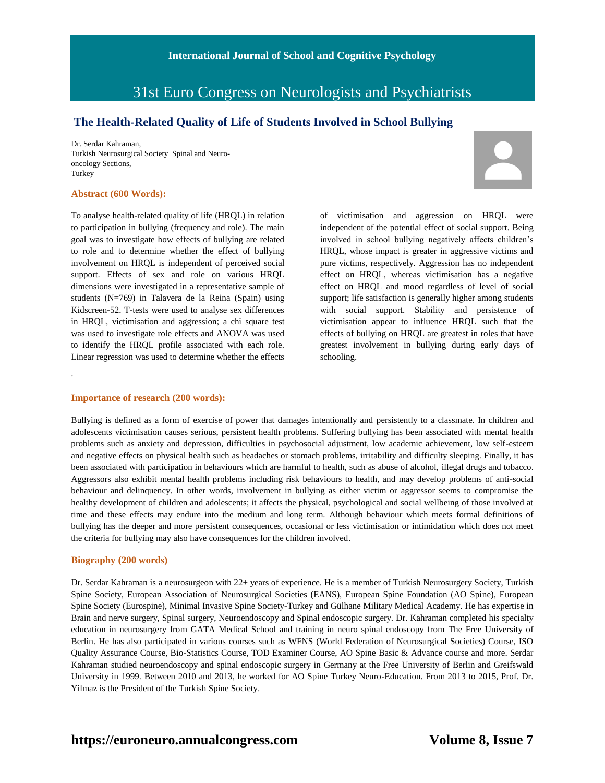# 31st Euro Congress on Neurologists and Psychiatrists

### **The Health-Related Quality of Life of Students Involved in School Bullying**

Dr. Serdar Kahraman, Turkish Neurosurgical Society Spinal and Neurooncology Sections, Turkey

#### **Abstract (600 Words):**

To analyse health-related quality of life (HRQL) in relation to participation in bullying (frequency and role). The main goal was to investigate how effects of bullying are related to role and to determine whether the effect of bullying involvement on HRQL is independent of perceived social support. Effects of sex and role on various HRQL dimensions were investigated in a representative sample of students (N=769) in Talavera de la Reina (Spain) using Kidscreen-52. T-tests were used to analyse sex differences in HRQL, victimisation and aggression; a chi square test was used to investigate role effects and ANOVA was used to identify the HRQL profile associated with each role. Linear regression was used to determine whether the effects of victimisation and aggression on HRQL were independent of the potential effect of social support. Being involved in school bullying negatively affects children's HRQL, whose impact is greater in aggressive victims and pure victims, respectively. Aggression has no independent effect on HRQL, whereas victimisation has a negative effect on HRQL and mood regardless of level of social support; life satisfaction is generally higher among students with social support. Stability and persistence of victimisation appear to influence HRQL such that the effects of bullying on HRQL are greatest in roles that have greatest involvement in bullying during early days of schooling.

#### **Importance of research (200 words):**

.

Bullying is defined as a form of exercise of power that damages intentionally and persistently to a classmate. In children and adolescents victimisation causes serious, persistent health problems. Suffering bullying has been associated with mental health problems such as anxiety and depression, difficulties in psychosocial adjustment, low academic achievement, low self-esteem and negative effects on physical health such as headaches or stomach problems, irritability and difficulty sleeping. Finally, it has been associated with participation in behaviours which are harmful to health, such as abuse of alcohol, illegal drugs and tobacco. Aggressors also exhibit mental health problems including risk behaviours to health, and may develop problems of anti-social behaviour and delinquency. In other words, involvement in bullying as either victim or aggressor seems to compromise the healthy development of children and adolescents; it affects the physical, psychological and social wellbeing of those involved at time and these effects may endure into the medium and long term. Although behaviour which meets formal definitions of bullying has the deeper and more persistent consequences, occasional or less victimisation or intimidation which does not meet the criteria for bullying may also have consequences for the children involved.

#### **Biography (200 words)**

Dr. Serdar Kahraman is a neurosurgeon with 22+ years of experience. He is a member of Turkish Neurosurgery Society, Turkish Spine Society, European Association of Neurosurgical Societies (EANS), European Spine Foundation (AO Spine), European Spine Society (Eurospine), Minimal Invasive Spine Society-Turkey and Gülhane Military Medical Academy. He has expertise in Brain and nerve surgery, Spinal surgery, Neuroendoscopy and Spinal endoscopic surgery. Dr. Kahraman completed his specialty education in neurosurgery from GATA Medical School and training in neuro spinal endoscopy from The Free University of Berlin. He has also participated in various courses such as WFNS (World Federation of Neurosurgical Societies) Course, ISO Quality Assurance Course, Bio-Statistics Course, TOD Examiner Course, AO Spine Basic & Advance course and more. Serdar Kahraman studied neuroendoscopy and spinal endoscopic surgery in Germany at the Free University of Berlin and Greifswald University in 1999. Between 2010 and 2013, he worked for AO Spine Turkey Neuro-Education. From 2013 to 2015, Prof. Dr. Yilmaz is the President of the Turkish Spine Society.